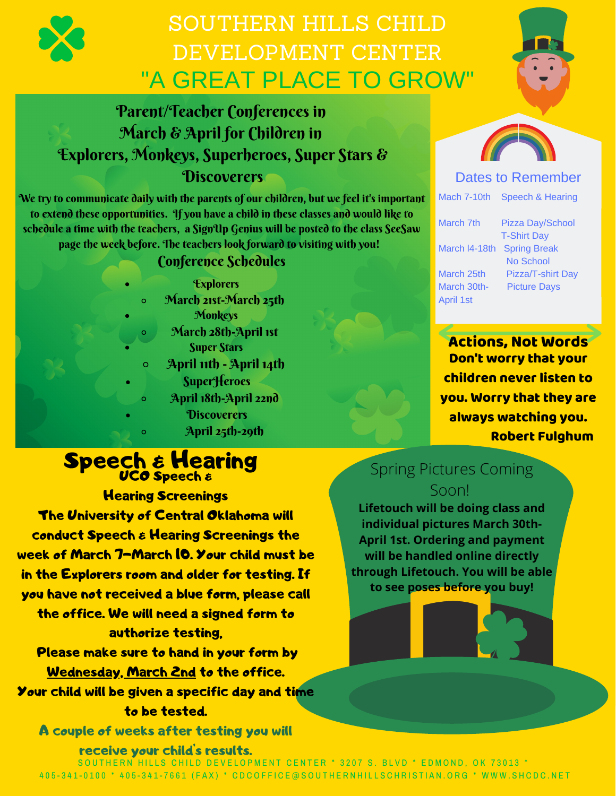

### SOUTHERN HILLS CHILD DEVELOPMENT CENTER "A GREAT PLACE TO GROW"

### Parent/Teacher Conferences in March & April for Children in Explorers, Monkeys, Superheroes, Super Stars & **Discoverers**

We try to communicate daily with the parents of our children, but we feel it's important to extend these opportunities. If you have a child in these classes and would like to schedule a time with the teachers, a SignUp Genius will be posted to the class SeeSaw page the week before. The teachers look forward to visiting with you!

### Conference Schedules

|         | <b>Explorers</b>        |
|---------|-------------------------|
| $\circ$ | March 21st-March 25th   |
|         | <b>Monkeys</b>          |
| Ō       | March 28th-April 1st    |
|         | <b>Super Stars</b>      |
| Ō       | April 11th - April 14th |
|         | <b>SuperHeroes</b>      |
| Ō       | April 18th-April 22nd   |
|         | <b>Discoverers</b>      |
| Õ       | April 25th-29th         |
|         |                         |

### **Speech & Hearing** UCO Speech &

Hearing Screenings The University of Central Oklahoma will conduct Speech & Hearing Screenings the week of March 7-March 10. Your child must be in the Explorers room and older for testing. If you have not received a blue form, please call the office. We will need a signed form to authorize testing, Please make sure to hand in your form by

Wednesday, March 2nd to the office. Your child will be given a specific day and time to be tested.

A couple of weeks after testing you will

#### receive your child's results.





### Dates to Remember

Mach 7-10th Speech & Hearing

March l4-18th Spring Break March 30th- Picture Days April 1st

March 7th Pizza Day/School T-Shirt Day No School March 25th Pizza/T-shirt Day

Actions, Not Words Don't worry that your children never listen to you. Worry that they are always watching you. Robert Fulghum

### Spring Pictures Coming Soon!

**Lifetouch will be doing class and individual pictures March 30th-April 1st. Ordering and payment will be handled online directly through Lifetouch. You will be able to see poses before you buy!**

SOUTHERN HILLS CHILD DEVELOPMENT CENTER \* 3207 S. BLVD \* EDMOND, OK 73013 \* 405-341-0100 \* 405-341-7661 (FAX) \* CDCOFFICE@SOUTHERNHILLSCHRISTIAN.ORG \* WWW.SHCDC.NET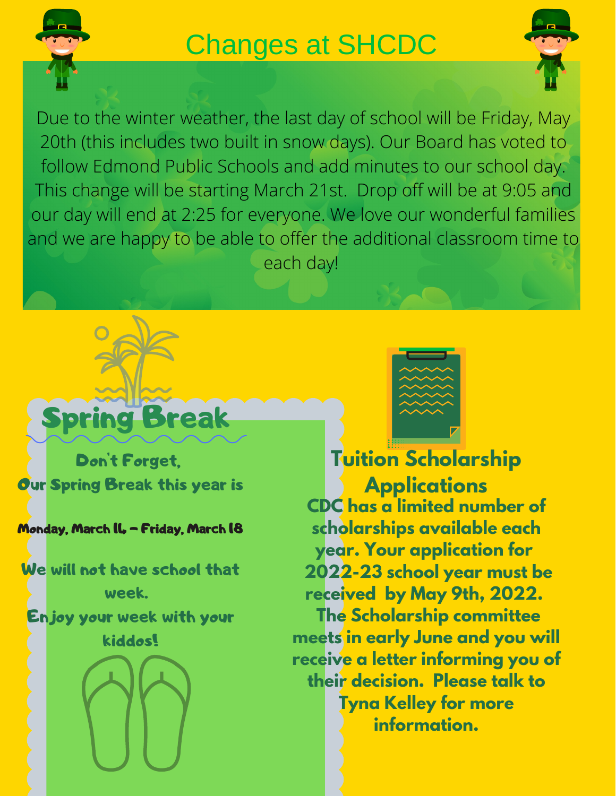

# Changes at SHCDC



Due to the winter weather, the last day of school will be Friday, May 20th (this includes two built in snow days). Our Board has voted to follow Edmond Public Schools and add minutes to our school day. This change will be starting March 21st. Drop off will be at 9:05 and our day will end at 2:25 for everyone. We love our wonderful families and we are happy to be able to offer the additional classroom time to each day!

# Spring Break

Don't Forget, **Our Spring Break this year is** 

### Monday, March IL - Friday, March 18

We will not have school that week. Enjoy your week with your kiddos!





**CDC has a limited number of scholarships available each year. Your application for 2022-23 school year must be received by May 9th, 2022. The Scholarship committee meets in early June and you will receive a letter informing you of their decision. Please talk to Tyna Kelley for more information. Tuition Scholarship Applications**